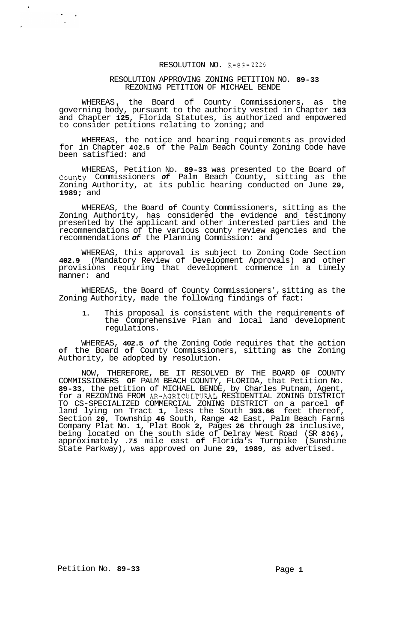## RESOLUTION NO. R-89- 2226

## RESOLUTION APPROVING ZONING PETITION NO. **89-33**  REZONING PETITION OF MICHAEL BENDE

WHEREAS , the Board of County Commissioners, as the governing body, pursuant to the authority vested in Chapter **163**  and Chapter **125,** Florida Statutes, is authorized and empowered to consider petitions relating to zoning; and

WHEREAS, the notice and hearing requirements as provided for in Chapter **402.5** of the Palm Beach County Zoning Code have been satisfied: and

WHEREAS, Petition No. **89-33** was presented to the Board of County Commissioners *of* Palm Beach County, sitting as the Zoning Authority, at its public hearing conducted on June **29, 1989;** and

WHEREAS, the Board **of** County Commissioners, sitting as the Zoning Authority, has considered the evidence and testimony presented by the applicant and other interested parties and the recommendations of the various county review agencies and the recommendations *of* the Planning Commission: and

WHEREAS, this approval is subject to Zoning Code Section **402.9** (Mandatory Review of Development Approvals) and other provisions requiring that development commence in a timely manner: and

WHEREAS, the Board of County Commissioners', sitting as the Zoning Authority, made the following findings of fact:

**1.** This proposal is consistent with the requirements **of**  the Comprehensive Plan and local land development regulations.

WHEREAS, **402.5** *of* the Zoning Code requires that the action **of** the Board **of** County Commissioners, sitting **as** the Zoning Authority, be adopted **by** resolution.

NOW, THEREFORE, BE IT RESOLVED BY THE BOARD **OF** COUNTY COMMISSIONERS **OF** PALM BEACH COUNTY, FLORIDA, that Petition No. **89-33,** the petition of MICHAEL BENDE, by Charles Putnam, Agent, for a REZONING FROM AR-AGRICULTURAL RESIDENTIAL ZONING DISTRICT TO CS-SPECIALIZED COMMERCIAL ZONING DISTRICT on a parcel **of**  land lying on Tract **1,** less the South **393.66** feet thereof, Section **20,** Township **46** South, Range **42** East, Palm Beach Farms Company Plat No. **1,** Plat Book **2,** Pages **26** through **28** inclusive, being located on the south side of Delray West Road (SR **806),**  approximately *.75* mile east **of** Florida's Turnpike (Sunshine State Parkway), was approved on June **29, 1989,** as advertised.

Petition No. 89-33 Page 1

 $\bar{r}$ 

 $\lambda$  . We